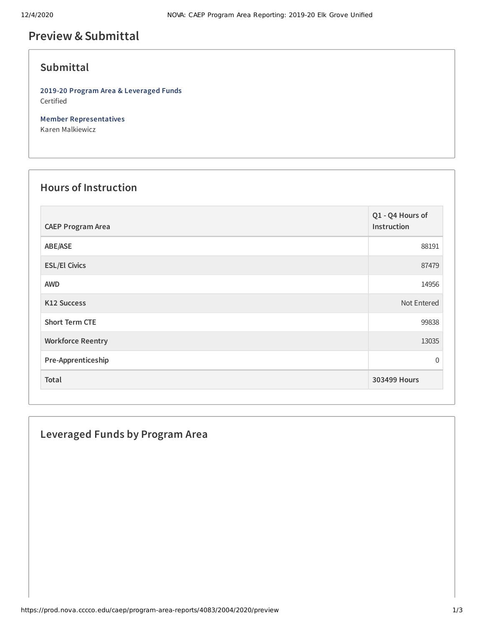# **Preview &Submittal**

## **Submittal**

**2019-20 Program Area & Leveraged Funds** Certified

**Member Representatives** Karen Malkiewicz

#### **Hours of Instruction**

| <b>CAEP Program Area</b> | Q1 - Q4 Hours of<br>Instruction |
|--------------------------|---------------------------------|
| ABE/ASE                  | 88191                           |
| <b>ESL/El Civics</b>     | 87479                           |
| <b>AWD</b>               | 14956                           |
| <b>K12 Success</b>       | Not Entered                     |
| <b>Short Term CTE</b>    | 99838                           |
| <b>Workforce Reentry</b> | 13035                           |
| Pre-Apprenticeship       | $\overline{0}$                  |
| <b>Total</b>             | 303499 Hours                    |

### **Leveraged Funds by Program Area**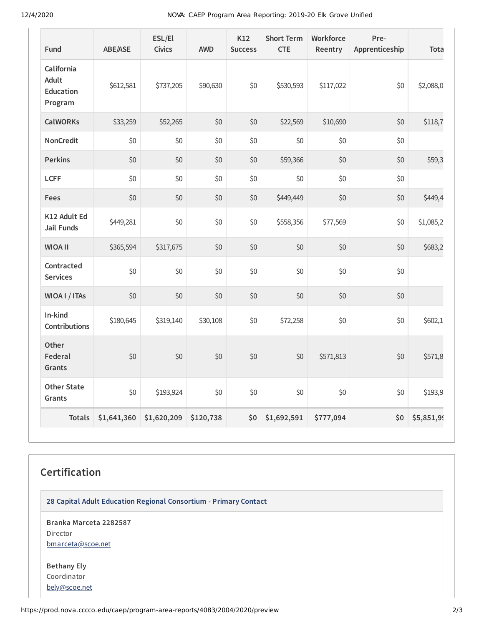12/4/2020 NOVA: CAEP Program Area Reporting: 2019-20 Elk Grove Unified

| Fund                                               | <b>ABE/ASE</b> | ESL/El<br><b>Civics</b> | <b>AWD</b> | K12<br><b>Success</b> | <b>Short Term</b><br><b>CTE</b> | Workforce<br>Reentry | Pre-<br>Apprenticeship | Tota       |
|----------------------------------------------------|----------------|-------------------------|------------|-----------------------|---------------------------------|----------------------|------------------------|------------|
| California<br>Adult<br><b>Education</b><br>Program | \$612,581      | \$737,205               | \$90,630   | \$0                   | \$530,593                       | \$117,022            | \$0                    | \$2,088,0  |
| <b>CalWORKs</b>                                    | \$33,259       | \$52,265                | \$0        | \$0                   | \$22,569                        | \$10,690             | \$0                    | \$118,7    |
| <b>NonCredit</b>                                   | \$0            | \$0                     | \$0        | \$0                   | \$0                             | \$0                  | \$0                    |            |
| <b>Perkins</b>                                     | \$0            | \$0                     | \$0        | \$0                   | \$59,366                        | \$0                  | \$0                    | \$59,3     |
| <b>LCFF</b>                                        | \$0            | \$0                     | \$0        | \$0                   | \$0                             | \$0                  | \$0                    |            |
| <b>Fees</b>                                        | \$0            | \$0                     | \$0        | \$0                   | \$449,449                       | \$0                  | \$0                    | \$449,4    |
| K12 Adult Ed<br><b>Jail Funds</b>                  | \$449,281      | \$0                     | \$0        | \$0                   | \$558,356                       | \$77,569             | \$0                    | \$1,085,2  |
| <b>WIOA II</b>                                     | \$365,594      | \$317,675               | \$0        | \$0                   | \$0                             | \$0                  | \$0                    | \$683,2    |
| Contracted<br><b>Services</b>                      | \$0            | \$0                     | \$0        | \$0                   | \$0                             | \$0                  | \$0                    |            |
| WIOA I / ITAs                                      | \$0            | \$0                     | \$0        | \$0                   | \$0                             | \$0                  | \$0                    |            |
| In-kind<br>Contributions                           | \$180,645      | \$319,140               | \$30,108   | \$0                   | \$72,258                        | \$0                  | \$0                    | \$602,1    |
| Other<br>Federal<br>Grants                         | \$0            | \$0                     | \$0        | \$0                   | \$0                             | \$571,813            | \$0                    | \$571,8    |
| <b>Other State</b><br>Grants                       | \$0            | \$193,924               | \$0        | \$0                   | \$0                             | \$0                  | \$0                    | \$193,9    |
| <b>Totals</b>                                      | \$1,641,360    | \$1,620,209             | \$120,738  | \$0                   | \$1,692,591                     | \$777,094            | \$0                    | \$5,851,99 |

# **Certification**

**28 Capital Adult Education Regional Consortium - Primary Contact**

**Branka Marceta 2282587** Director [bmarceta@scoe.net](mailto:bmarceta@scoe.net)

**Bethany Ely** Coordinator [bely@scoe.net](mailto:bely@scoe.net)